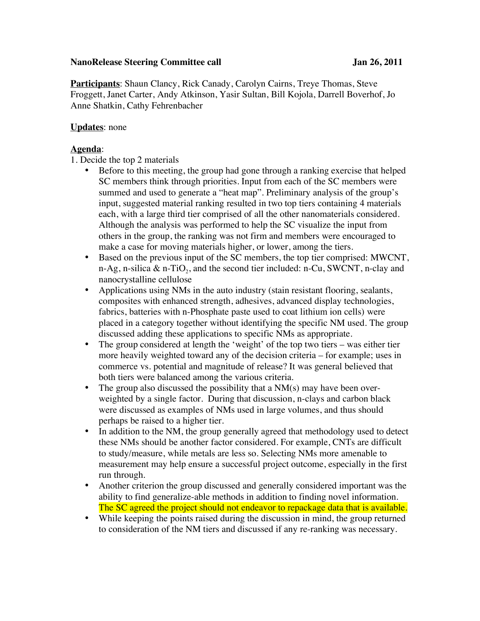## **NanoRelease Steering Committee call Jan 26, 2011**

**Participants**: Shaun Clancy, Rick Canady, Carolyn Cairns, Treye Thomas, Steve Froggett, Janet Carter, Andy Atkinson, Yasir Sultan, Bill Kojola, Darrell Boverhof, Jo Anne Shatkin, Cathy Fehrenbacher

## **Updates**: none

## **Agenda**:

1. Decide the top 2 materials

- Before to this meeting, the group had gone through a ranking exercise that helped SC members think through priorities. Input from each of the SC members were summed and used to generate a "heat map". Preliminary analysis of the group's input, suggested material ranking resulted in two top tiers containing 4 materials each, with a large third tier comprised of all the other nanomaterials considered. Although the analysis was performed to help the SC visualize the input from others in the group, the ranking was not firm and members were encouraged to make a case for moving materials higher, or lower, among the tiers.
- Based on the previous input of the SC members, the top tier comprised: MWCNT, n-Ag, n-silica  $\&$  n-TiO<sub>2</sub>, and the second tier included: n-Cu, SWCNT, n-clay and nanocrystalline cellulose
- Applications using NMs in the auto industry (stain resistant flooring, sealants, composites with enhanced strength, adhesives, advanced display technologies, fabrics, batteries with n-Phosphate paste used to coat lithium ion cells) were placed in a category together without identifying the specific NM used. The group discussed adding these applications to specific NMs as appropriate.
- The group considered at length the 'weight' of the top two tiers was either tier more heavily weighted toward any of the decision criteria – for example; uses in commerce vs. potential and magnitude of release? It was general believed that both tiers were balanced among the various criteria.
- The group also discussed the possibility that a NM(s) may have been overweighted by a single factor. During that discussion, n-clays and carbon black were discussed as examples of NMs used in large volumes, and thus should perhaps be raised to a higher tier.
- In addition to the NM, the group generally agreed that methodology used to detect these NMs should be another factor considered. For example, CNTs are difficult to study/measure, while metals are less so. Selecting NMs more amenable to measurement may help ensure a successful project outcome, especially in the first run through.
- Another criterion the group discussed and generally considered important was the ability to find generalize-able methods in addition to finding novel information. The SC agreed the project should not endeavor to repackage data that is available.
- While keeping the points raised during the discussion in mind, the group returned to consideration of the NM tiers and discussed if any re-ranking was necessary.